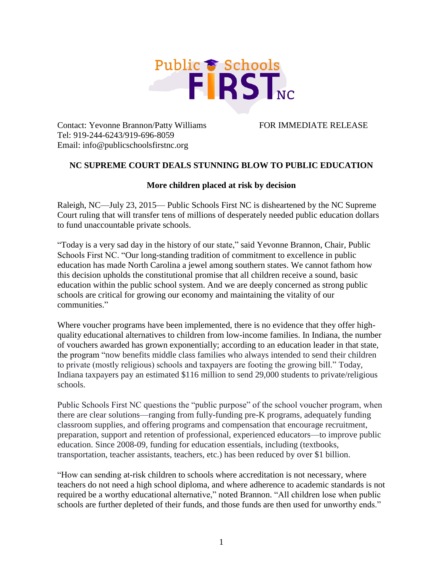

Contact: Yevonne Brannon/Patty Williams FOR IMMEDIATE RELEASE Tel: 919-244-6243/919-696-8059 Email: info@publicschoolsfirstnc.org

## **NC SUPREME COURT DEALS STUNNING BLOW TO PUBLIC EDUCATION**

## **More children placed at risk by decision**

Raleigh, NC—July 23, 2015— Public Schools First NC is disheartened by the NC Supreme Court ruling that will transfer tens of millions of desperately needed public education dollars to fund unaccountable private schools.

"Today is a very sad day in the history of our state," said Yevonne Brannon, Chair, Public Schools First NC. "Our long-standing tradition of commitment to excellence in public education has made North Carolina a jewel among southern states. We cannot fathom how this decision upholds the constitutional promise that all children receive a sound, basic education within the public school system. And we are deeply concerned as strong public schools are critical for growing our economy and maintaining the vitality of our communities."

Where voucher programs have been implemented, there is no evidence that they offer highquality educational alternatives to children from low-income families. In Indiana, the number of vouchers awarded has grown exponentially; according to an education leader in that state, the program "now benefits middle class families who always intended to send their children to private (mostly religious) schools and taxpayers are footing the growing bill." Today, Indiana taxpayers pay an estimated \$116 million to send 29,000 students to private/religious schools.

Public Schools First NC questions the "public purpose" of the school voucher program, when there are clear solutions—ranging from fully-funding pre-K programs, adequately funding classroom supplies, and offering programs and compensation that encourage recruitment, preparation, support and retention of professional, experienced educators—to improve public education. Since 2008-09, funding for education essentials, including (textbooks, transportation, teacher assistants, teachers, etc.) has been reduced by over \$1 billion.

"How can sending at-risk children to schools where accreditation is not necessary, where teachers do not need a high school diploma, and where adherence to academic standards is not required be a worthy educational alternative," noted Brannon. "All children lose when public schools are further depleted of their funds, and those funds are then used for unworthy ends."